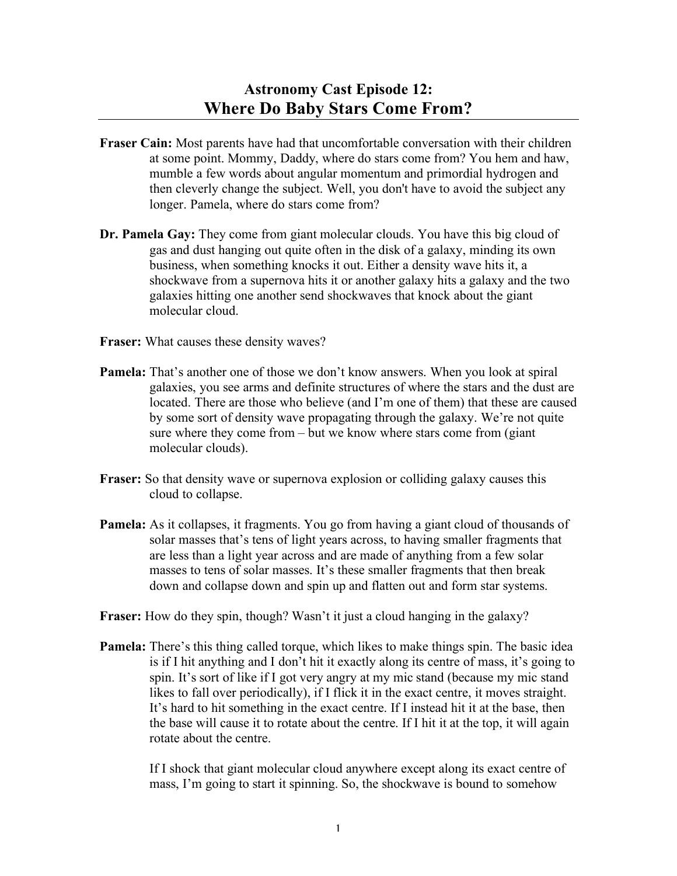- **Fraser Cain:** Most parents have had that uncomfortable conversation with their children at some point. Mommy, Daddy, where do stars come from? You hem and haw, mumble a few words about angular momentum and primordial hydrogen and then cleverly change the subject. Well, you don't have to avoid the subject any longer. Pamela, where do stars come from?
- **Dr. Pamela Gay:** They come from giant molecular clouds. You have this big cloud of gas and dust hanging out quite often in the disk of a galaxy, minding its own business, when something knocks it out. Either a density wave hits it, a shockwave from a supernova hits it or another galaxy hits a galaxy and the two galaxies hitting one another send shockwaves that knock about the giant molecular cloud.
- **Fraser:** What causes these density waves?
- **Pamela:** That's another one of those we don't know answers. When you look at spiral galaxies, you see arms and definite structures of where the stars and the dust are located. There are those who believe (and I'm one of them) that these are caused by some sort of density wave propagating through the galaxy. We're not quite sure where they come from – but we know where stars come from (giant molecular clouds).
- **Fraser:** So that density wave or supernova explosion or colliding galaxy causes this cloud to collapse.
- **Pamela:** As it collapses, it fragments. You go from having a giant cloud of thousands of solar masses that's tens of light years across, to having smaller fragments that are less than a light year across and are made of anything from a few solar masses to tens of solar masses. It's these smaller fragments that then break down and collapse down and spin up and flatten out and form star systems.
- **Fraser:** How do they spin, though? Wasn't it just a cloud hanging in the galaxy?
- **Pamela:** There's this thing called torque, which likes to make things spin. The basic idea is if I hit anything and I don't hit it exactly along its centre of mass, it's going to spin. It's sort of like if I got very angry at my mic stand (because my mic stand likes to fall over periodically), if I flick it in the exact centre, it moves straight. It's hard to hit something in the exact centre. If I instead hit it at the base, then the base will cause it to rotate about the centre. If I hit it at the top, it will again rotate about the centre.

If I shock that giant molecular cloud anywhere except along its exact centre of mass, I'm going to start it spinning. So, the shockwave is bound to somehow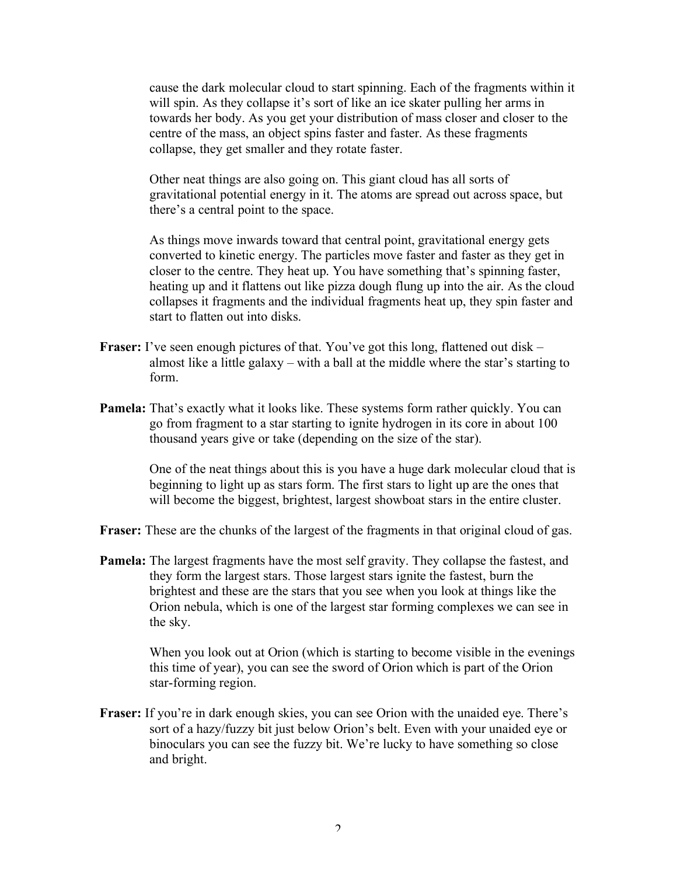cause the dark molecular cloud to start spinning. Each of the fragments within it will spin. As they collapse it's sort of like an ice skater pulling her arms in towards her body. As you get your distribution of mass closer and closer to the centre of the mass, an object spins faster and faster. As these fragments collapse, they get smaller and they rotate faster.

Other neat things are also going on. This giant cloud has all sorts of gravitational potential energy in it. The atoms are spread out across space, but there's a central point to the space.

As things move inwards toward that central point, gravitational energy gets converted to kinetic energy. The particles move faster and faster as they get in closer to the centre. They heat up. You have something that's spinning faster, heating up and it flattens out like pizza dough flung up into the air. As the cloud collapses it fragments and the individual fragments heat up, they spin faster and start to flatten out into disks.

- **Fraser:** I've seen enough pictures of that. You've got this long, flattened out disk almost like a little galaxy – with a ball at the middle where the star's starting to form.
- **Pamela:** That's exactly what it looks like. These systems form rather quickly. You can go from fragment to a star starting to ignite hydrogen in its core in about 100 thousand years give or take (depending on the size of the star).

One of the neat things about this is you have a huge dark molecular cloud that is beginning to light up as stars form. The first stars to light up are the ones that will become the biggest, brightest, largest showboat stars in the entire cluster.

**Fraser:** These are the chunks of the largest of the fragments in that original cloud of gas.

**Pamela:** The largest fragments have the most self gravity. They collapse the fastest, and they form the largest stars. Those largest stars ignite the fastest, burn the brightest and these are the stars that you see when you look at things like the Orion nebula, which is one of the largest star forming complexes we can see in the sky.

> When you look out at Orion (which is starting to become visible in the evenings this time of year), you can see the sword of Orion which is part of the Orion star-forming region.

Fraser: If you're in dark enough skies, you can see Orion with the unaided eye. There's sort of a hazy/fuzzy bit just below Orion's belt. Even with your unaided eye or binoculars you can see the fuzzy bit. We're lucky to have something so close and bright.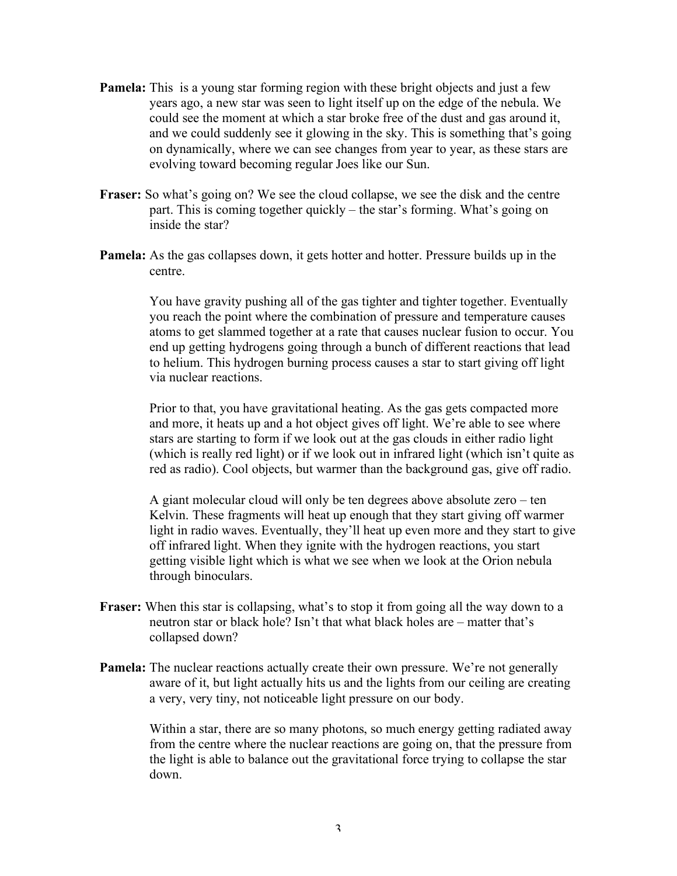- **Pamela:** This is a young star forming region with these bright objects and just a few years ago, a new star was seen to light itself up on the edge of the nebula. We could see the moment at which a star broke free of the dust and gas around it, and we could suddenly see it glowing in the sky. This is something that's going on dynamically, where we can see changes from year to year, as these stars are evolving toward becoming regular Joes like our Sun.
- **Fraser:** So what's going on? We see the cloud collapse, we see the disk and the centre part. This is coming together quickly – the star's forming. What's going on inside the star?
- **Pamela:** As the gas collapses down, it gets hotter and hotter. Pressure builds up in the centre.

You have gravity pushing all of the gas tighter and tighter together. Eventually you reach the point where the combination of pressure and temperature causes atoms to get slammed together at a rate that causes nuclear fusion to occur. You end up getting hydrogens going through a bunch of different reactions that lead to helium. This hydrogen burning process causes a star to start giving off light via nuclear reactions.

Prior to that, you have gravitational heating. As the gas gets compacted more and more, it heats up and a hot object gives off light. We're able to see where stars are starting to form if we look out at the gas clouds in either radio light (which is really red light) or if we look out in infrared light (which isn't quite as red as radio). Cool objects, but warmer than the background gas, give off radio.

A giant molecular cloud will only be ten degrees above absolute zero – ten Kelvin. These fragments will heat up enough that they start giving off warmer light in radio waves. Eventually, they'll heat up even more and they start to give off infrared light. When they ignite with the hydrogen reactions, you start getting visible light which is what we see when we look at the Orion nebula through binoculars.

- **Fraser:** When this star is collapsing, what's to stop it from going all the way down to a neutron star or black hole? Isn't that what black holes are – matter that's collapsed down?
- **Pamela:** The nuclear reactions actually create their own pressure. We're not generally aware of it, but light actually hits us and the lights from our ceiling are creating a very, very tiny, not noticeable light pressure on our body.

Within a star, there are so many photons, so much energy getting radiated away from the centre where the nuclear reactions are going on, that the pressure from the light is able to balance out the gravitational force trying to collapse the star down.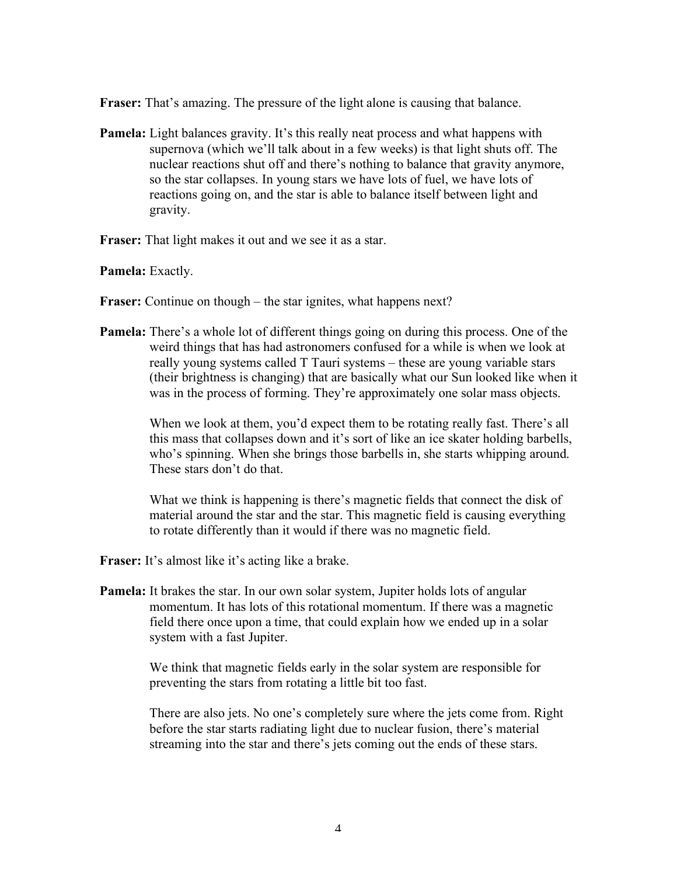**Fraser:** That's amazing. The pressure of the light alone is causing that balance.

**Pamela:** Light balances gravity. It's this really neat process and what happens with supernova (which we'll talk about in a few weeks) is that light shuts off. The nuclear reactions shut off and there's nothing to balance that gravity anymore, so the star collapses. In young stars we have lots of fuel, we have lots of reactions going on, and the star is able to balance itself between light and gravity.

**Fraser:** That light makes it out and we see it as a star.

**Pamela:** Exactly.

**Fraser:** Continue on though – the star ignites, what happens next?

**Pamela:** There's a whole lot of different things going on during this process. One of the weird things that has had astronomers confused for a while is when we look at really young systems called T Tauri systems – these are young variable stars (their brightness is changing) that are basically what our Sun looked like when it was in the process of forming. They're approximately one solar mass objects.

> When we look at them, you'd expect them to be rotating really fast. There's all this mass that collapses down and it's sort of like an ice skater holding barbells, who's spinning. When she brings those barbells in, she starts whipping around. These stars don't do that.

What we think is happening is there's magnetic fields that connect the disk of material around the star and the star. This magnetic field is causing everything to rotate differently than it would if there was no magnetic field.

- **Fraser:** It's almost like it's acting like a brake.
- **Pamela:** It brakes the star. In our own solar system, Jupiter holds lots of angular momentum. It has lots of this rotational momentum. If there was a magnetic field there once upon a time, that could explain how we ended up in a solar system with a fast Jupiter.

We think that magnetic fields early in the solar system are responsible for preventing the stars from rotating a little bit too fast.

There are also jets. No one's completely sure where the jets come from. Right before the star starts radiating light due to nuclear fusion, there's material streaming into the star and there's jets coming out the ends of these stars.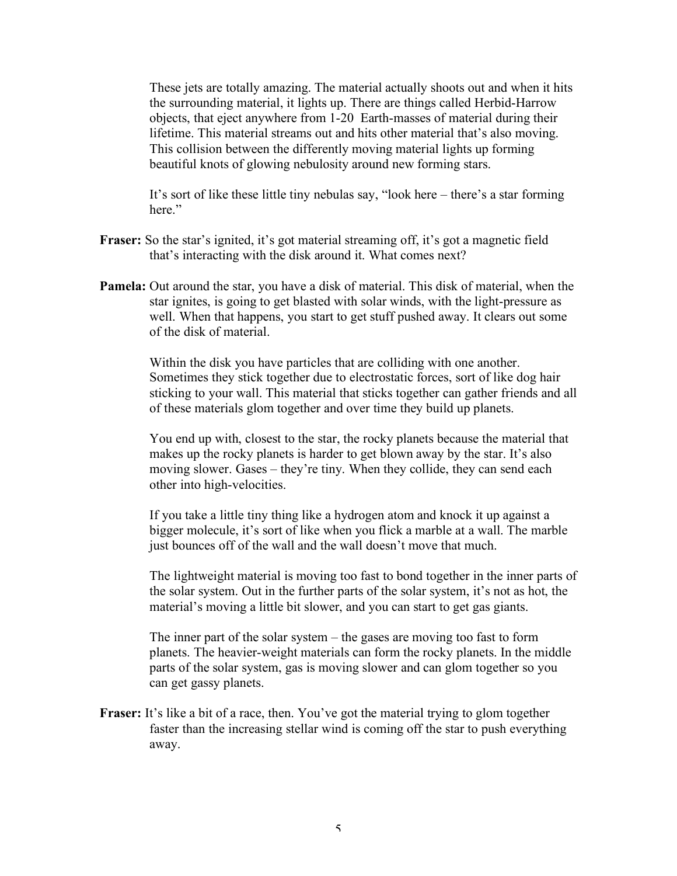These jets are totally amazing. The material actually shoots out and when it hits the surrounding material, it lights up. There are things called Herbid-Harrow objects, that eject anywhere from 1-20 Earth-masses of material during their lifetime. This material streams out and hits other material that's also moving. This collision between the differently moving material lights up forming beautiful knots of glowing nebulosity around new forming stars.

It's sort of like these little tiny nebulas say, "look here – there's a star forming here"

- **Fraser:** So the star's ignited, it's got material streaming off, it's got a magnetic field that's interacting with the disk around it. What comes next?
- **Pamela:** Out around the star, you have a disk of material. This disk of material, when the star ignites, is going to get blasted with solar winds, with the light-pressure as well. When that happens, you start to get stuff pushed away. It clears out some of the disk of material.

Within the disk you have particles that are colliding with one another. Sometimes they stick together due to electrostatic forces, sort of like dog hair sticking to your wall. This material that sticks together can gather friends and all of these materials glom together and over time they build up planets.

You end up with, closest to the star, the rocky planets because the material that makes up the rocky planets is harder to get blown away by the star. It's also moving slower. Gases – they're tiny. When they collide, they can send each other into high-velocities.

If you take a little tiny thing like a hydrogen atom and knock it up against a bigger molecule, it's sort of like when you flick a marble at a wall. The marble just bounces off of the wall and the wall doesn't move that much.

The lightweight material is moving too fast to bond together in the inner parts of the solar system. Out in the further parts of the solar system, it's not as hot, the material's moving a little bit slower, and you can start to get gas giants.

The inner part of the solar system – the gases are moving too fast to form planets. The heavier-weight materials can form the rocky planets. In the middle parts of the solar system, gas is moving slower and can glom together so you can get gassy planets.

**Fraser:** It's like a bit of a race, then. You've got the material trying to glom together faster than the increasing stellar wind is coming off the star to push everything away.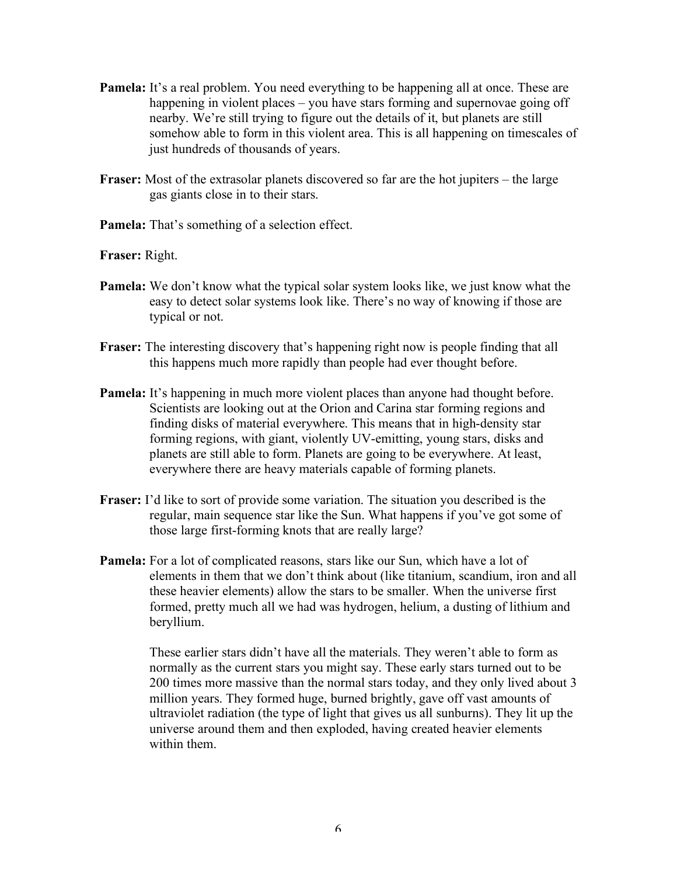- **Pamela:** It's a real problem. You need everything to be happening all at once. These are happening in violent places – you have stars forming and supernovae going off nearby. We're still trying to figure out the details of it, but planets are still somehow able to form in this violent area. This is all happening on timescales of just hundreds of thousands of years.
- **Fraser:** Most of the extrasolar planets discovered so far are the hot jupiters the large gas giants close in to their stars.
- Pamela: That's something of a selection effect.

**Fraser:** Right.

- **Pamela:** We don't know what the typical solar system looks like, we just know what the easy to detect solar systems look like. There's no way of knowing if those are typical or not.
- **Fraser:** The interesting discovery that's happening right now is people finding that all this happens much more rapidly than people had ever thought before.
- **Pamela:** It's happening in much more violent places than anyone had thought before. Scientists are looking out at the Orion and Carina star forming regions and finding disks of material everywhere. This means that in high-density star forming regions, with giant, violently UV-emitting, young stars, disks and planets are still able to form. Planets are going to be everywhere. At least, everywhere there are heavy materials capable of forming planets.
- **Fraser:** I'd like to sort of provide some variation. The situation you described is the regular, main sequence star like the Sun. What happens if you've got some of those large first-forming knots that are really large?
- **Pamela:** For a lot of complicated reasons, stars like our Sun, which have a lot of elements in them that we don't think about (like titanium, scandium, iron and all these heavier elements) allow the stars to be smaller. When the universe first formed, pretty much all we had was hydrogen, helium, a dusting of lithium and beryllium.

These earlier stars didn't have all the materials. They weren't able to form as normally as the current stars you might say. These early stars turned out to be 200 times more massive than the normal stars today, and they only lived about 3 million years. They formed huge, burned brightly, gave off vast amounts of ultraviolet radiation (the type of light that gives us all sunburns). They lit up the universe around them and then exploded, having created heavier elements within them.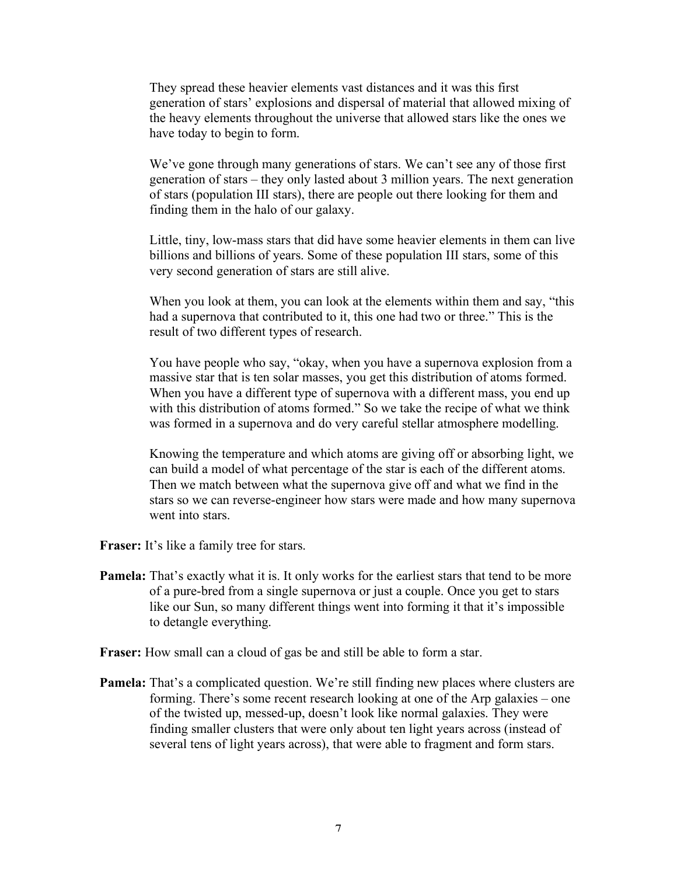They spread these heavier elements vast distances and it was this first generation of stars' explosions and dispersal of material that allowed mixing of the heavy elements throughout the universe that allowed stars like the ones we have today to begin to form.

We've gone through many generations of stars. We can't see any of those first generation of stars – they only lasted about 3 million years. The next generation of stars (population III stars), there are people out there looking for them and finding them in the halo of our galaxy.

Little, tiny, low-mass stars that did have some heavier elements in them can live billions and billions of years. Some of these population III stars, some of this very second generation of stars are still alive.

When you look at them, you can look at the elements within them and say, "this had a supernova that contributed to it, this one had two or three." This is the result of two different types of research.

You have people who say, "okay, when you have a supernova explosion from a massive star that is ten solar masses, you get this distribution of atoms formed. When you have a different type of supernova with a different mass, you end up with this distribution of atoms formed." So we take the recipe of what we think was formed in a supernova and do very careful stellar atmosphere modelling.

Knowing the temperature and which atoms are giving off or absorbing light, we can build a model of what percentage of the star is each of the different atoms. Then we match between what the supernova give off and what we find in the stars so we can reverse-engineer how stars were made and how many supernova went into stars.

- **Fraser:** It's like a family tree for stars.
- **Pamela:** That's exactly what it is. It only works for the earliest stars that tend to be more of a pure-bred from a single supernova or just a couple. Once you get to stars like our Sun, so many different things went into forming it that it's impossible to detangle everything.
- **Fraser:** How small can a cloud of gas be and still be able to form a star.
- **Pamela:** That's a complicated question. We're still finding new places where clusters are forming. There's some recent research looking at one of the Arp galaxies – one of the twisted up, messed-up, doesn't look like normal galaxies. They were finding smaller clusters that were only about ten light years across (instead of several tens of light years across), that were able to fragment and form stars.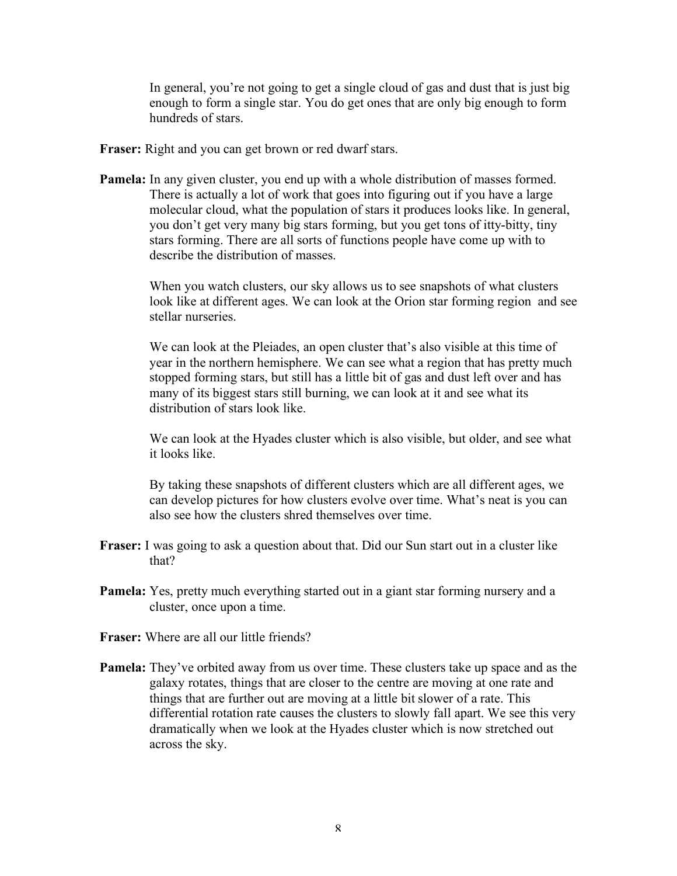In general, you're not going to get a single cloud of gas and dust that is just big enough to form a single star. You do get ones that are only big enough to form hundreds of stars.

- **Fraser:** Right and you can get brown or red dwarf stars.
- **Pamela:** In any given cluster, you end up with a whole distribution of masses formed. There is actually a lot of work that goes into figuring out if you have a large molecular cloud, what the population of stars it produces looks like. In general, you don't get very many big stars forming, but you get tons of itty-bitty, tiny stars forming. There are all sorts of functions people have come up with to describe the distribution of masses.

When you watch clusters, our sky allows us to see snapshots of what clusters look like at different ages. We can look at the Orion star forming region and see stellar nurseries.

We can look at the Pleiades, an open cluster that's also visible at this time of year in the northern hemisphere. We can see what a region that has pretty much stopped forming stars, but still has a little bit of gas and dust left over and has many of its biggest stars still burning, we can look at it and see what its distribution of stars look like.

We can look at the Hyades cluster which is also visible, but older, and see what it looks like.

By taking these snapshots of different clusters which are all different ages, we can develop pictures for how clusters evolve over time. What's neat is you can also see how the clusters shred themselves over time.

- **Fraser:** I was going to ask a question about that. Did our Sun start out in a cluster like that?
- **Pamela:** Yes, pretty much everything started out in a giant star forming nursery and a cluster, once upon a time.
- **Fraser:** Where are all our little friends?
- **Pamela:** They've orbited away from us over time. These clusters take up space and as the galaxy rotates, things that are closer to the centre are moving at one rate and things that are further out are moving at a little bit slower of a rate. This differential rotation rate causes the clusters to slowly fall apart. We see this very dramatically when we look at the Hyades cluster which is now stretched out across the sky.